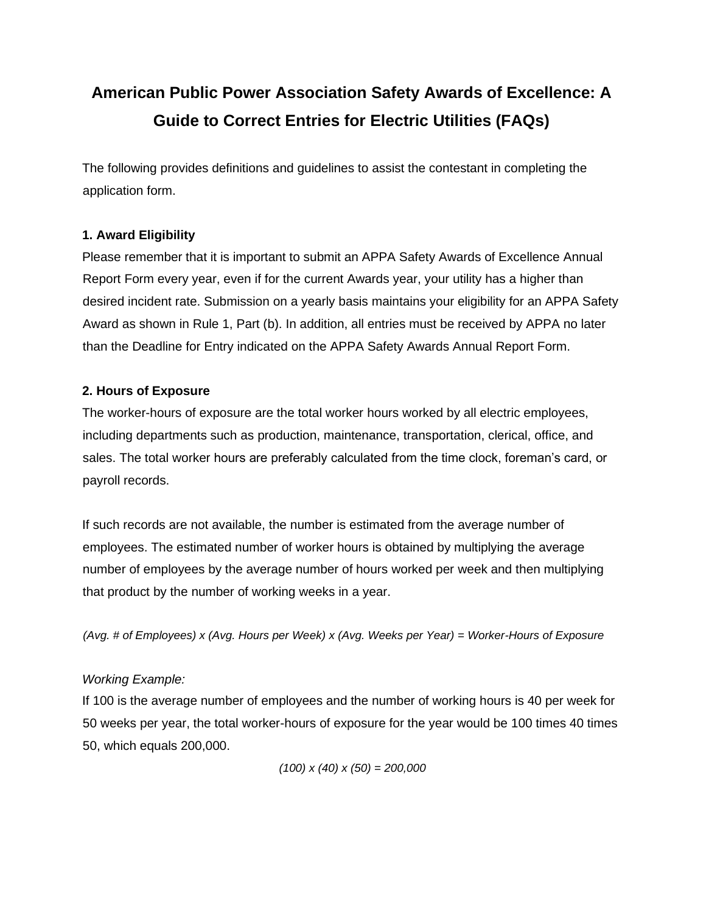# **American Public Power Association Safety Awards of Excellence: A Guide to Correct Entries for Electric Utilities (FAQs)**

The following provides definitions and guidelines to assist the contestant in completing the application form.

## **1. Award Eligibility**

Please remember that it is important to submit an APPA Safety Awards of Excellence Annual Report Form every year, even if for the current Awards year, your utility has a higher than desired incident rate. Submission on a yearly basis maintains your eligibility for an APPA Safety Award as shown in Rule 1, Part (b). In addition, all entries must be received by APPA no later than the Deadline for Entry indicated on the APPA Safety Awards Annual Report Form.

## **2. Hours of Exposure**

The worker-hours of exposure are the total worker hours worked by all electric employees, including departments such as production, maintenance, transportation, clerical, office, and sales. The total worker hours are preferably calculated from the time clock, foreman's card, or payroll records.

If such records are not available, the number is estimated from the average number of employees. The estimated number of worker hours is obtained by multiplying the average number of employees by the average number of hours worked per week and then multiplying that product by the number of working weeks in a year.

*(Avg. # of Employees) x (Avg. Hours per Week) x (Avg. Weeks per Year) = Worker-Hours of Exposure* 

## *Working Example:*

If 100 is the average number of employees and the number of working hours is 40 per week for 50 weeks per year, the total worker-hours of exposure for the year would be 100 times 40 times 50, which equals 200,000.

*(100) x (40) x (50) = 200,000*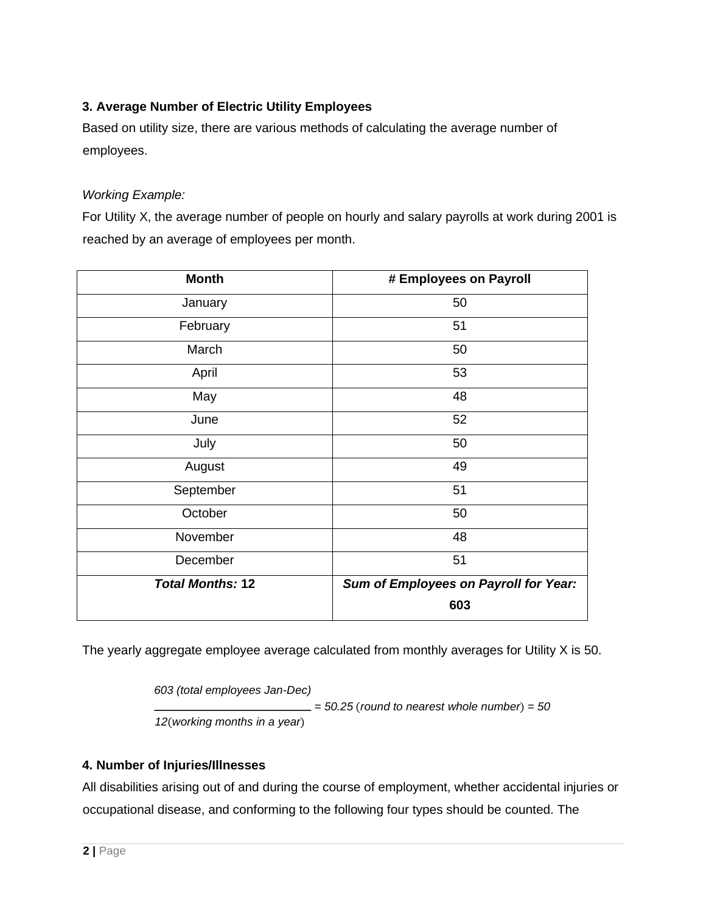## **3. Average Number of Electric Utility Employees**

Based on utility size, there are various methods of calculating the average number of employees.

#### *Working Example:*

For Utility X, the average number of people on hourly and salary payrolls at work during 2001 is reached by an average of employees per month.

| <b>Month</b>            | # Employees on Payroll                |
|-------------------------|---------------------------------------|
| January                 | 50                                    |
| February                | 51                                    |
| March                   | 50                                    |
| April                   | 53                                    |
| May                     | 48                                    |
| June                    | 52                                    |
| July                    | 50                                    |
| August                  | 49                                    |
| September               | 51                                    |
| October                 | 50                                    |
| November                | 48                                    |
| December                | 51                                    |
| <b>Total Months: 12</b> | Sum of Employees on Payroll for Year: |
|                         | 603                                   |

The yearly aggregate employee average calculated from monthly averages for Utility X is 50.

*603 (total employees Jan-Dec) = 50.25* (*round to nearest whole number*) *= 50 12*(*working months in a year*)

## **4. Number of Injuries/Illnesses**

All disabilities arising out of and during the course of employment, whether accidental injuries or occupational disease, and conforming to the following four types should be counted. The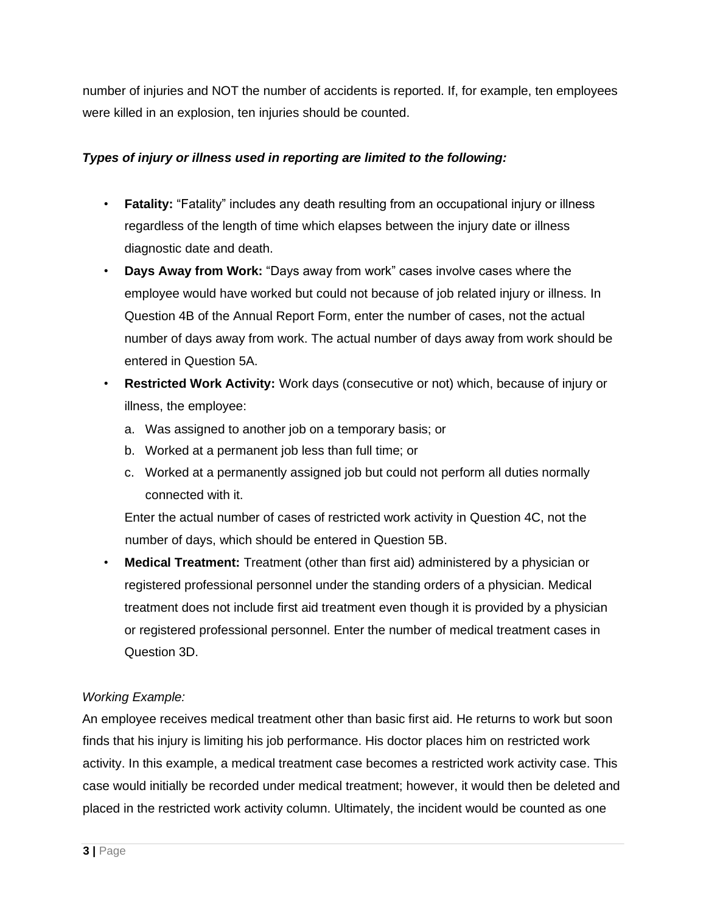number of injuries and NOT the number of accidents is reported. If, for example, ten employees were killed in an explosion, ten injuries should be counted.

## *Types of injury or illness used in reporting are limited to the following:*

- **Fatality:** "Fatality" includes any death resulting from an occupational injury or illness regardless of the length of time which elapses between the injury date or illness diagnostic date and death.
- **Days Away from Work:** "Days away from work" cases involve cases where the employee would have worked but could not because of job related injury or illness. In Question 4B of the Annual Report Form, enter the number of cases, not the actual number of days away from work. The actual number of days away from work should be entered in Question 5A.
- **Restricted Work Activity:** Work days (consecutive or not) which, because of injury or illness, the employee:
	- a. Was assigned to another job on a temporary basis; or
	- b. Worked at a permanent job less than full time; or
	- c. Worked at a permanently assigned job but could not perform all duties normally connected with it.

Enter the actual number of cases of restricted work activity in Question 4C, not the number of days, which should be entered in Question 5B.

• **Medical Treatment:** Treatment (other than first aid) administered by a physician or registered professional personnel under the standing orders of a physician. Medical treatment does not include first aid treatment even though it is provided by a physician or registered professional personnel. Enter the number of medical treatment cases in Question 3D.

# *Working Example:*

An employee receives medical treatment other than basic first aid. He returns to work but soon finds that his injury is limiting his job performance. His doctor places him on restricted work activity. In this example, a medical treatment case becomes a restricted work activity case. This case would initially be recorded under medical treatment; however, it would then be deleted and placed in the restricted work activity column. Ultimately, the incident would be counted as one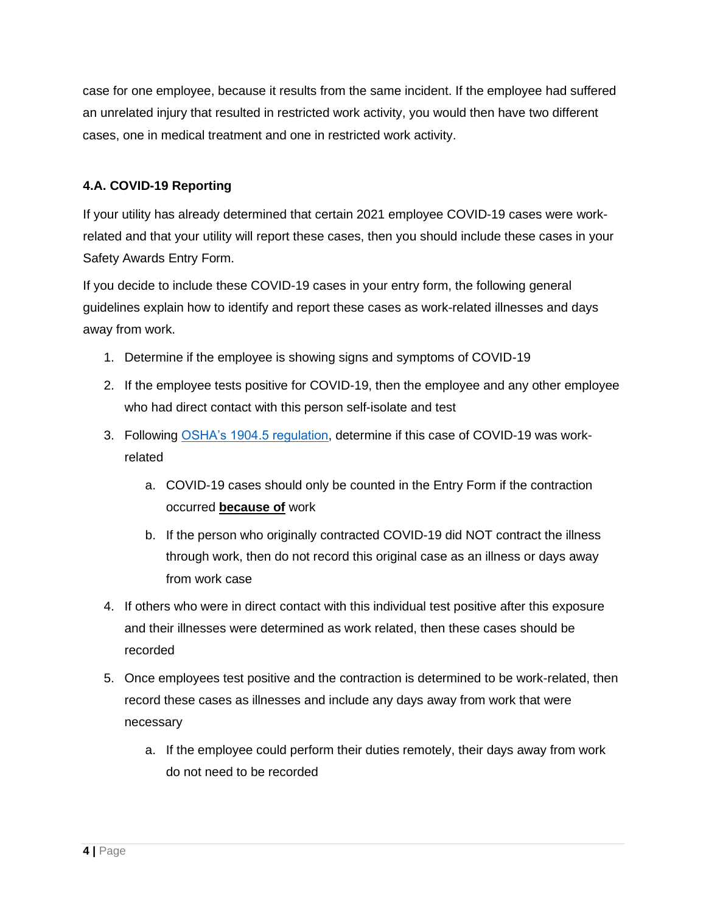case for one employee, because it results from the same incident. If the employee had suffered an unrelated injury that resulted in restricted work activity, you would then have two different cases, one in medical treatment and one in restricted work activity.

## **4.A. COVID-19 Reporting**

If your utility has already determined that certain 2021 employee COVID-19 cases were workrelated and that your utility will report these cases, then you should include these cases in your Safety Awards Entry Form.

If you decide to include these COVID-19 cases in your entry form, the following general guidelines explain how to identify and report these cases as work-related illnesses and days away from work.

- 1. Determine if the employee is showing signs and symptoms of COVID-19
- 2. If the employee tests positive for COVID-19, then the employee and any other employee who had direct contact with this person self-isolate and test
- 3. Following [OSHA's 1904.5 regulation,](https://www.osha.gov/laws-regs/regulations/standardnumber/1904/1904.5) determine if this case of COVID-19 was workrelated
	- a. COVID-19 cases should only be counted in the Entry Form if the contraction occurred **because of** work
	- b. If the person who originally contracted COVID-19 did NOT contract the illness through work, then do not record this original case as an illness or days away from work case
- 4. If others who were in direct contact with this individual test positive after this exposure and their illnesses were determined as work related, then these cases should be recorded
- 5. Once employees test positive and the contraction is determined to be work-related, then record these cases as illnesses and include any days away from work that were necessary
	- a. If the employee could perform their duties remotely, their days away from work do not need to be recorded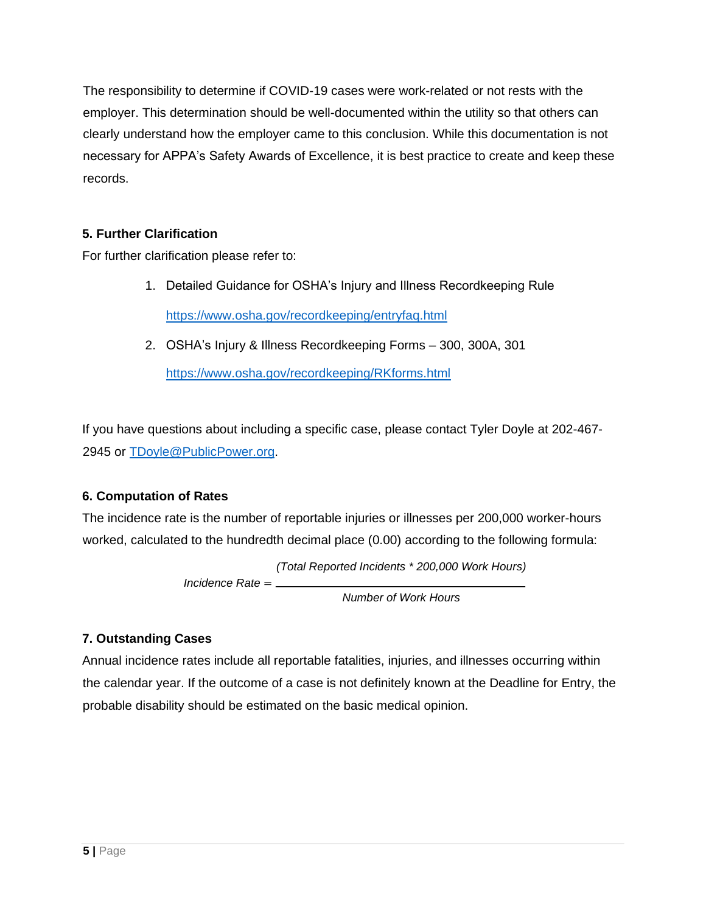The responsibility to determine if COVID-19 cases were work-related or not rests with the employer. This determination should be well-documented within the utility so that others can clearly understand how the employer came to this conclusion. While this documentation is not necessary for APPA's Safety Awards of Excellence, it is best practice to create and keep these records.

## **5. Further Clarification**

For further clarification please refer to:

- 1. Detailed Guidance for OSHA's Injury and Illness Recordkeeping Rule <https://www.osha.gov/recordkeeping/entryfaq.html>
- 2. OSHA's Injury & Illness Recordkeeping Forms 300, 300A, 301 <https://www.osha.gov/recordkeeping/RKforms.html>

If you have questions about including a specific case, please contact Tyler Doyle at 202-467- 2945 or [TDoyle@PublicPower.org.](mailto:TDoyle@PublicPower.org)

## **6. Computation of Rates**

The incidence rate is the number of reportable injuries or illnesses per 200,000 worker-hours worked, calculated to the hundredth decimal place (0.00) according to the following formula:

*(Total Reported Incidents \* 200,000 Work Hours)*

*Incidence Rate* =

*Number of Work Hours*

# **7. Outstanding Cases**

Annual incidence rates include all reportable fatalities, injuries, and illnesses occurring within the calendar year. If the outcome of a case is not definitely known at the Deadline for Entry, the probable disability should be estimated on the basic medical opinion.